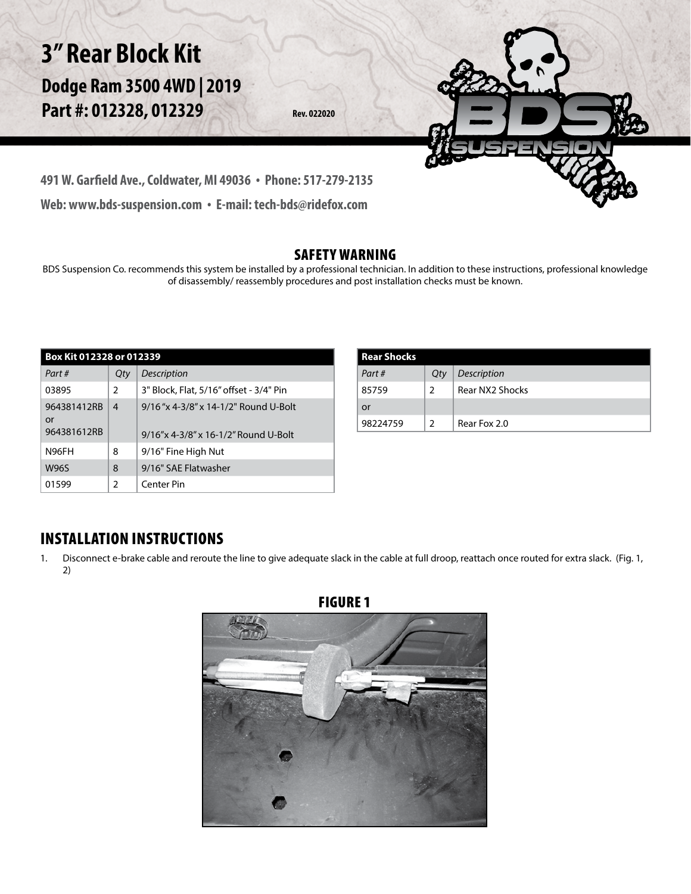

### SAFETY WARNING

BDS Suspension Co. recommends this system be installed by a professional technician. In addition to these instructions, professional knowledge of disassembly/ reassembly procedures and post installation checks must be known.

| Box Kit 012328 or 012339         |               |                                                                              |  |
|----------------------------------|---------------|------------------------------------------------------------------------------|--|
| Part#                            | Qty           | <b>Description</b>                                                           |  |
| 03895                            | $\mathcal{P}$ | 3" Block, Flat, 5/16" offset - 3/4" Pin                                      |  |
| 964381412RB<br>or<br>964381612RB | 4             | 9/16"x 4-3/8" x 14-1/2" Round U-Bolt<br>9/16"x 4-3/8" x 16-1/2" Round U-Bolt |  |
| N96FH                            | 8             | 9/16" Fine High Nut                                                          |  |
| <b>W96S</b>                      | 8             | 9/16" SAE Flatwasher                                                         |  |
| 01599                            | 2             | Center Pin                                                                   |  |

| Rear Shocks |     |                 |
|-------------|-----|-----------------|
| Part#       | Qty | Description     |
| 85759       | ς   | Rear NX2 Shocks |
| or          |     |                 |
| 98224759    | ς   | Rear Fox 2.0    |

## INSTALLATION INSTRUCTIONS

1. Disconnect e-brake cable and reroute the line to give adequate slack in the cable at full droop, reattach once routed for extra slack. (Fig. 1, 2)

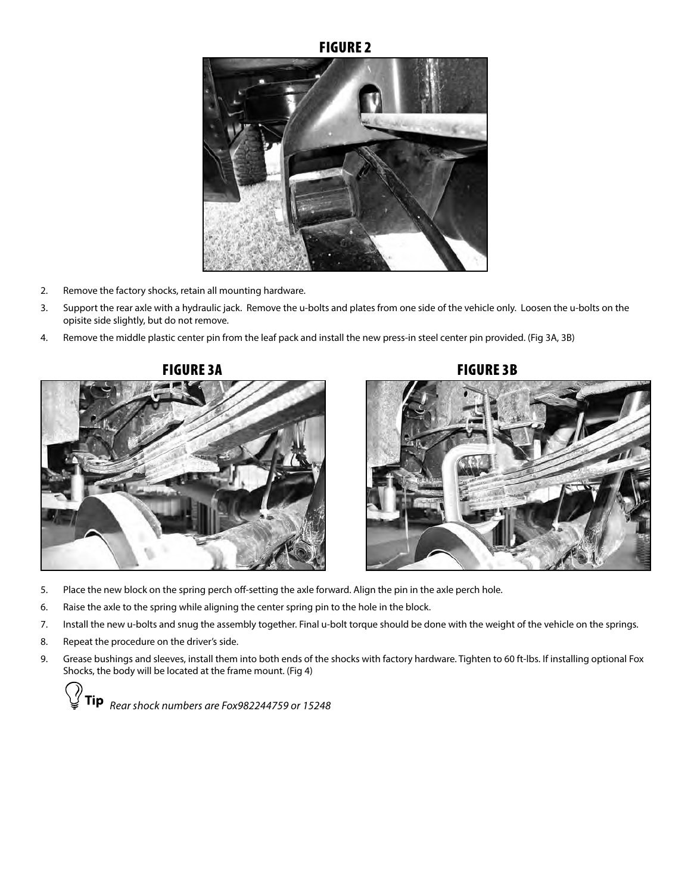#### FIGURE 2



- 2. Remove the factory shocks, retain all mounting hardware.
- 3. Support the rear axle with a hydraulic jack. Remove the u-bolts and plates from one side of the vehicle only. Loosen the u-bolts on the opisite side slightly, but do not remove.
- 4. Remove the middle plastic center pin from the leaf pack and install the new press-in steel center pin provided. (Fig 3A, 3B)



FIGURE 3A FIGURE 3B



- 5. Place the new block on the spring perch off-setting the axle forward. Align the pin in the axle perch hole.
- 6. Raise the axle to the spring while aligning the center spring pin to the hole in the block.
- 7. Install the new u-bolts and snug the assembly together. Final u-bolt torque should be done with the weight of the vehicle on the springs.
- 8. Repeat the procedure on the driver's side.
- 9. Grease bushings and sleeves, install them into both ends of the shocks with factory hardware. Tighten to 60 ft-lbs. If installing optional Fox Shocks, the body will be located at the frame mount. (Fig 4)